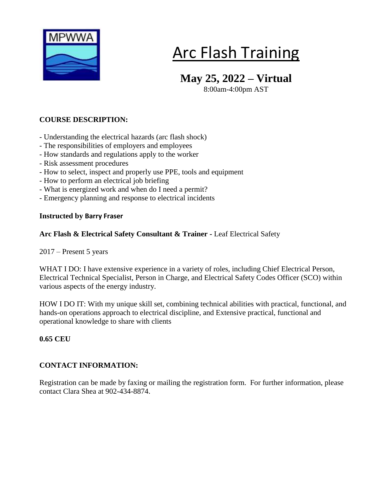

# Arc Flash Training

## **May 25, 2022 – Virtual**

8:00am-4:00pm AST

### **COURSE DESCRIPTION:**

- Understanding the electrical hazards (arc flash shock)
- The responsibilities of employers and employees
- How standards and regulations apply to the worker
- Risk assessment procedures
- How to select, inspect and properly use PPE, tools and equipment
- How to perform an electrical job briefing
- What is energized work and when do I need a permit?
- Emergency planning and response to electrical incidents

#### **Instructed by Barry Fraser**

#### **Arc Flash & Electrical Safety Consultant & Trainer -** Leaf [Electrical](https://ca.linkedin.com/company/leafelectricalsafety?trk=public_profile_experience-item_result-card_subtitle-click) Safety

2017 – Present 5 years

WHAT I DO: I have extensive experience in a variety of roles, including Chief Electrical Person, Electrical Technical Specialist, Person in Charge, and Electrical Safety Codes Officer (SCO) within various aspects of the energy industry.

HOW I DO IT: With my unique skill set, combining technical abilities with practical, functional, and hands-on operations approach to electrical discipline, and Extensive practical, functional and operational knowledge to share with clients

#### **0.65 CEU**

### **CONTACT INFORMATION:**

Registration can be made by faxing or mailing the registration form. For further information, please contact Clara Shea at 902-434-8874.